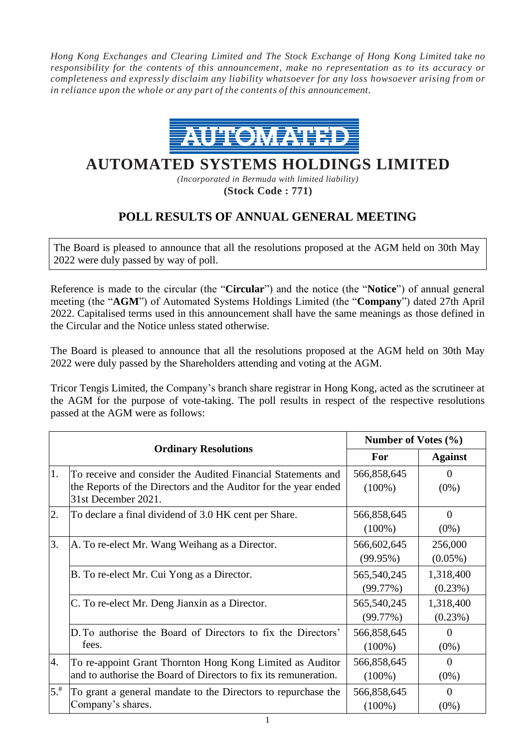*Hong Kong Exchanges and Clearing Limited and The Stock Exchange of Hong Kong Limited take no responsibility for the contents of this announcement, make no representation as to its accuracy or completeness and expressly disclaim any liability whatsoever for any loss howsoever arising from or in reliance upon the whole or any part of the contents of this announcement.*



## **AUTOMATED SYSTEMS HOLDINGS LIMITED**

*(Incorporated in Bermuda with limited liability)* **(Stock Code : 771)**

## **POLL RESULTS OF ANNUAL GENERAL MEETING**

The Board is pleased to announce that all the resolutions proposed at the AGM held on 30th May 2022 were duly passed by way of poll.

Reference is made to the circular (the "**Circular**") and the notice (the "**Notice**") of annual general meeting (the "**AGM**") of Automated Systems Holdings Limited (the "**Company**") dated 27th April 2022. Capitalised terms used in this announcement shall have the same meanings as those defined in the Circular and the Notice unless stated otherwise.

The Board is pleased to announce that all the resolutions proposed at the AGM held on 30th May 2022 were duly passed by the Shareholders attending and voting at the AGM.

Tricor Tengis Limited, the Company's branch share registrar in Hong Kong, acted as the scrutineer at the AGM for the purpose of vote-taking. The poll results in respect of the respective resolutions passed at the AGM were as follows:

|                             |                                                                                                                                                        | Number of Votes $(\% )$  |                         |
|-----------------------------|--------------------------------------------------------------------------------------------------------------------------------------------------------|--------------------------|-------------------------|
| <b>Ordinary Resolutions</b> |                                                                                                                                                        | <b>For</b>               | <b>Against</b>          |
| 1.                          | To receive and consider the Audited Financial Statements and<br>the Reports of the Directors and the Auditor for the year ended<br>31st December 2021. | 566,858,645<br>$(100\%)$ | $\Omega$<br>$(0\%)$     |
| 2.                          | To declare a final dividend of 3.0 HK cent per Share.                                                                                                  | 566,858,645<br>$(100\%)$ | $\Omega$<br>$(0\%)$     |
| 3.                          | A. To re-elect Mr. Wang Weihang as a Director.                                                                                                         | 566,602,645<br>(99.95%)  | 256,000<br>$(0.05\%)$   |
|                             | B. To re-elect Mr. Cui Yong as a Director.                                                                                                             | 565,540,245<br>(99.77%)  | 1,318,400<br>$(0.23\%)$ |
|                             | C. To re-elect Mr. Deng Jianxin as a Director.                                                                                                         | 565,540,245<br>(99.77%)  | 1,318,400<br>(0.23%)    |
|                             | D. To authorise the Board of Directors to fix the Directors'<br>fees.                                                                                  | 566,858,645<br>$(100\%)$ | $\Omega$<br>$(0\%)$     |
| 4.                          | To re-appoint Grant Thornton Hong Kong Limited as Auditor<br>and to authorise the Board of Directors to fix its remuneration.                          | 566,858,645<br>$(100\%)$ | $\Omega$<br>$(0\%)$     |
| $5.$ <sup>#</sup>           | To grant a general mandate to the Directors to repurchase the<br>Company's shares.                                                                     | 566,858,645<br>$(100\%)$ | $\Omega$<br>$(0\%)$     |